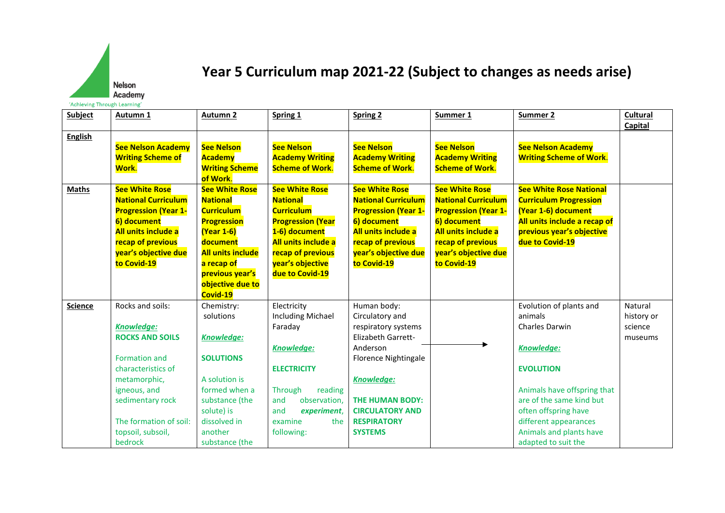

## **Year 5 Curriculum map 2021-22 (Subject to changes as needs arise)**

| Subject        | Autumn 1                                                                                                                                                                                                  | <b>Autumn 2</b>                                                                                                                                                                                                   | Spring 1                                                                                                                                                                                         | <b>Spring 2</b>                                                                                                                                                                                                                                | Summer 1                                                                                                                                                                             | Summer 2                                                                                                                                                                                                                             | Cultural                                    |
|----------------|-----------------------------------------------------------------------------------------------------------------------------------------------------------------------------------------------------------|-------------------------------------------------------------------------------------------------------------------------------------------------------------------------------------------------------------------|--------------------------------------------------------------------------------------------------------------------------------------------------------------------------------------------------|------------------------------------------------------------------------------------------------------------------------------------------------------------------------------------------------------------------------------------------------|--------------------------------------------------------------------------------------------------------------------------------------------------------------------------------------|--------------------------------------------------------------------------------------------------------------------------------------------------------------------------------------------------------------------------------------|---------------------------------------------|
|                |                                                                                                                                                                                                           |                                                                                                                                                                                                                   |                                                                                                                                                                                                  |                                                                                                                                                                                                                                                |                                                                                                                                                                                      |                                                                                                                                                                                                                                      | Capital                                     |
| <b>English</b> | <b>See Nelson Academy</b><br><b>Writing Scheme of</b><br>Work.                                                                                                                                            | <b>See Nelson</b><br><b>Academy</b><br><b>Writing Scheme</b><br>of Work.                                                                                                                                          | <b>See Nelson</b><br><b>Academy Writing</b><br><b>Scheme of Work.</b>                                                                                                                            | <b>See Nelson</b><br><b>Academy Writing</b><br><b>Scheme of Work.</b>                                                                                                                                                                          | <b>See Nelson</b><br><b>Academy Writing</b><br><b>Scheme of Work.</b>                                                                                                                | <b>See Nelson Academy</b><br><b>Writing Scheme of Work.</b>                                                                                                                                                                          |                                             |
| <b>Maths</b>   | <b>See White Rose</b><br><b>National Curriculum</b><br><b>Progression (Year 1-</b><br>6) document<br><b>All units include a</b><br>recap of previous<br>year's objective due<br>to Covid-19               | <b>See White Rose</b><br><b>National</b><br><b>Curriculum</b><br><b>Progression</b><br><b>(Year 1-6)</b><br>document<br><b>All units include</b><br>a recap of<br>previous year's<br>objective due to<br>Covid-19 | <b>See White Rose</b><br><b>National</b><br><b>Curriculum</b><br><b>Progression (Year</b><br>1-6) document<br>All units include a<br>recap of previous<br>year's objective<br>due to Covid-19    | <b>See White Rose</b><br><b>National Curriculum</b><br><b>Progression (Year 1-</b><br>6) document<br>All units include a<br>recap of previous<br>year's objective due<br>to Covid-19                                                           | <b>See White Rose</b><br><b>National Curriculum</b><br><b>Progression (Year 1-</b><br>6) document<br>All units include a<br>recap of previous<br>year's objective due<br>to Covid-19 | <b>See White Rose National</b><br><b>Curriculum Progression</b><br>(Year 1-6) document<br>All units include a recap of<br>previous year's objective<br>due to Covid-19                                                               |                                             |
| <b>Science</b> | Rocks and soils:<br><b>Knowledge:</b><br><b>ROCKS AND SOILS</b><br>Formation and<br>characteristics of<br>metamorphic,<br>igneous, and<br>sedimentary rock<br>The formation of soil:<br>topsoil, subsoil, | Chemistry:<br>solutions<br>Knowledge:<br><b>SOLUTIONS</b><br>A solution is<br>formed when a<br>substance (the<br>solute) is<br>dissolved in<br>another                                                            | Electricity<br><b>Including Michael</b><br>Faraday<br><b>Knowledge:</b><br><b>ELECTRICITY</b><br>Through<br>reading<br>observation,<br>and<br>experiment,<br>and<br>examine<br>the<br>following: | Human body:<br>Circulatory and<br>respiratory systems<br><b>Elizabeth Garrett-</b><br>Anderson<br><b>Florence Nightingale</b><br><b>Knowledge:</b><br><b>THE HUMAN BODY:</b><br><b>CIRCULATORY AND</b><br><b>RESPIRATORY</b><br><b>SYSTEMS</b> |                                                                                                                                                                                      | Evolution of plants and<br>animals<br><b>Charles Darwin</b><br>Knowledge:<br><b>EVOLUTION</b><br>Animals have offspring that<br>are of the same kind but<br>often offspring have<br>different appearances<br>Animals and plants have | Natural<br>history or<br>science<br>museums |
|                | bedrock                                                                                                                                                                                                   | substance (the                                                                                                                                                                                                    |                                                                                                                                                                                                  |                                                                                                                                                                                                                                                |                                                                                                                                                                                      | adapted to suit the                                                                                                                                                                                                                  |                                             |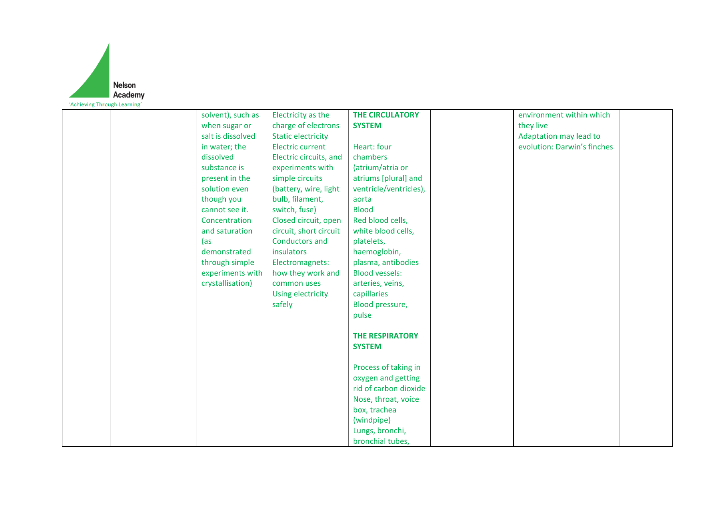

| solvent), such as | Electricity as the        | <b>THE CIRCULATORY</b> | environment within which    |  |
|-------------------|---------------------------|------------------------|-----------------------------|--|
| when sugar or     | charge of electrons       | <b>SYSTEM</b>          | they live                   |  |
| salt is dissolved | <b>Static electricity</b> |                        | Adaptation may lead to      |  |
| in water; the     | <b>Electric current</b>   | Heart: four            | evolution: Darwin's finches |  |
| dissolved         | Electric circuits, and    | chambers               |                             |  |
| substance is      | experiments with          | (atrium/atria or       |                             |  |
| present in the    | simple circuits           | atriums [plural] and   |                             |  |
| solution even     | (battery, wire, light     | ventricle/ventricles), |                             |  |
| though you        | bulb, filament,           | aorta                  |                             |  |
| cannot see it.    | switch, fuse)             | <b>Blood</b>           |                             |  |
| Concentration     | Closed circuit, open      | Red blood cells,       |                             |  |
| and saturation    | circuit, short circuit    | white blood cells,     |                             |  |
| (as               | <b>Conductors and</b>     | platelets,             |                             |  |
| demonstrated      | insulators                | haemoglobin,           |                             |  |
| through simple    | Electromagnets:           | plasma, antibodies     |                             |  |
| experiments with  | how they work and         | <b>Blood vessels:</b>  |                             |  |
| crystallisation)  | common uses               | arteries, veins,       |                             |  |
|                   | Using electricity         | capillaries            |                             |  |
|                   | safely                    | Blood pressure,        |                             |  |
|                   |                           | pulse                  |                             |  |
|                   |                           |                        |                             |  |
|                   |                           | <b>THE RESPIRATORY</b> |                             |  |
|                   |                           | <b>SYSTEM</b>          |                             |  |
|                   |                           |                        |                             |  |
|                   |                           | Process of taking in   |                             |  |
|                   |                           | oxygen and getting     |                             |  |
|                   |                           | rid of carbon dioxide  |                             |  |
|                   |                           | Nose, throat, voice    |                             |  |
|                   |                           | box, trachea           |                             |  |
|                   |                           | (windpipe)             |                             |  |
|                   |                           | Lungs, bronchi,        |                             |  |
|                   |                           | bronchial tubes,       |                             |  |
|                   |                           |                        |                             |  |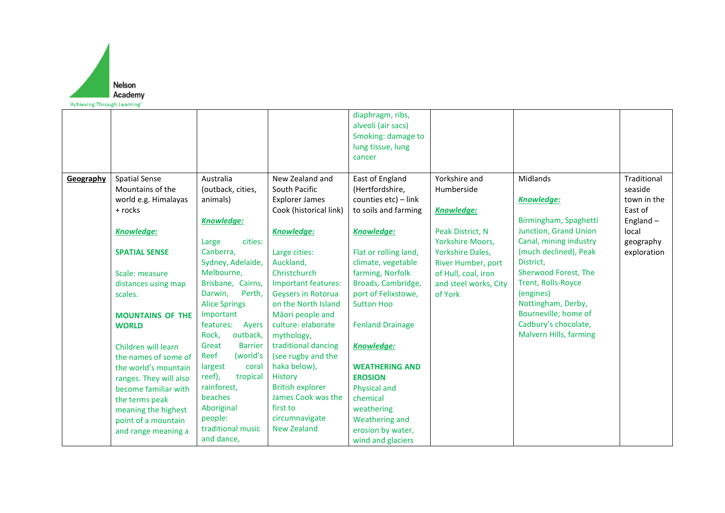

|           |                         |                         |                            | diaphragm, ribs,<br>alveoli (air sacs)<br>Smoking: damage to<br>lung tissue, lung<br>cancer |                         |                        |             |
|-----------|-------------------------|-------------------------|----------------------------|---------------------------------------------------------------------------------------------|-------------------------|------------------------|-------------|
| Geography | <b>Spatial Sense</b>    | Australia               | New Zealand and            | East of England                                                                             | Yorkshire and           | Midlands               | Traditional |
|           | Mountains of the        | (outback, cities,       | South Pacific              | (Hertfordshire,                                                                             | Humberside              |                        | seaside     |
|           | world e.g. Himalayas    | animals)                | <b>Explorer James</b>      | counties etc) - link                                                                        |                         | <b>Knowledge:</b>      | town in the |
|           | + rocks                 |                         | Cook (historical link)     | to soils and farming                                                                        | <b>Knowledge:</b>       |                        | East of     |
|           |                         | <b>Knowledge:</b>       |                            |                                                                                             |                         | Birmingham, Spaghetti  | England $-$ |
|           | Knowledge:              |                         | Knowledge:                 | <b>Knowledge:</b>                                                                           | Peak District, N        | Junction, Grand Union  | local       |
|           |                         | cities:<br>Large        |                            |                                                                                             | <b>Yorkshire Moors,</b> | Canal, mining industry | geography   |
|           | <b>SPATIAL SENSE</b>    | Canberra,               | Large cities:              | Flat or rolling land,                                                                       | <b>Yorkshire Dales,</b> | (much declined), Peak  | exploration |
|           |                         | Sydney, Adelaide,       | Auckland,                  | climate, vegetable                                                                          | River Humber, port      | District,              |             |
|           | Scale: measure          | Melbourne,              | Christchurch               | farming, Norfolk                                                                            | of Hull, coal, iron     | Sherwood Forest, The   |             |
|           | distances using map     | Brisbane, Cairns,       | <b>Important features:</b> | Broads, Cambridge,                                                                          | and steel works, City   | Trent, Rolls-Royce     |             |
|           | scales.                 | Darwin,<br>Perth,       | Geysers in Rotorua         | port of Felixstowe,                                                                         | of York                 | (engines)              |             |
|           |                         | <b>Alice Springs</b>    | on the North Island        | <b>Sutton Hoo</b>                                                                           |                         | Nottingham, Derby,     |             |
|           | <b>MOUNTAINS OF THE</b> | Important               | Māori people and           |                                                                                             |                         | Bourneville; home of   |             |
|           | <b>WORLD</b>            | features:<br>Ayers      | culture: elaborate         | <b>Fenland Drainage</b>                                                                     |                         | Cadbury's chocolate,   |             |
|           |                         | outback,<br>Rock,       | mythology,                 |                                                                                             |                         | Malvern Hills, farming |             |
|           | Children will learn     | <b>Barrier</b><br>Great | traditional dancing        | <b>Knowledge:</b>                                                                           |                         |                        |             |
|           | the names of some of    | (world's<br>Reef        | (see rugby and the         |                                                                                             |                         |                        |             |
|           | the world's mountain    | largest<br>coral        | haka below),               | <b>WEATHERING AND</b>                                                                       |                         |                        |             |
|           | ranges. They will also  | reef),<br>tropical      | History                    | <b>EROSION</b>                                                                              |                         |                        |             |
|           | become familiar with    | rainforest,             | <b>British explorer</b>    | Physical and                                                                                |                         |                        |             |
|           | the terms peak          | beaches                 | James Cook was the         | chemical                                                                                    |                         |                        |             |
|           | meaning the highest     | Aboriginal              | first to                   | weathering                                                                                  |                         |                        |             |
|           | point of a mountain     | people:                 | circumnavigate             | Weathering and                                                                              |                         |                        |             |
|           | and range meaning a     | traditional music       | <b>New Zealand</b>         | erosion by water,                                                                           |                         |                        |             |
|           |                         | and dance,              |                            | wind and glaciers                                                                           |                         |                        |             |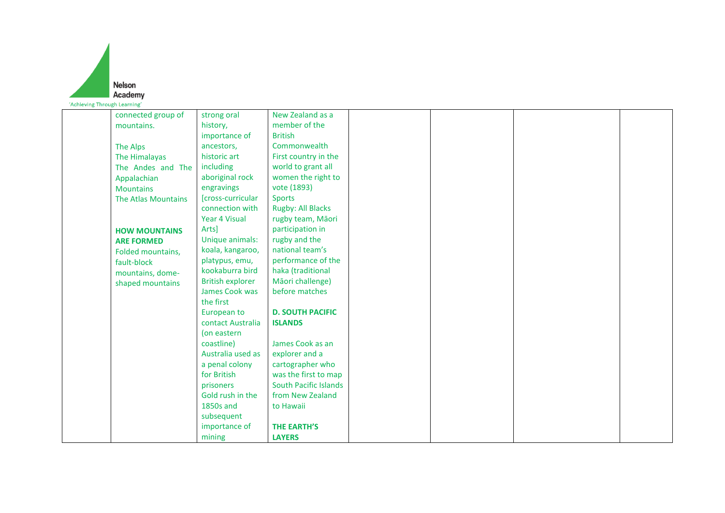

| member of the<br>history,<br>mountains.<br>importance of<br><b>British</b><br>Commonwealth<br>ancestors,<br>The Alps<br>historic art<br>First country in the<br>The Himalayas<br>world to grant all<br>including<br>The Andes and The<br>women the right to<br>aboriginal rock<br>Appalachian<br>vote (1893)<br>engravings<br><b>Mountains</b><br>[cross-curricular<br><b>Sports</b><br><b>The Atlas Mountains</b><br>connection with<br><b>Rugby: All Blacks</b><br><b>Year 4 Visual</b><br>rugby team, Māori<br>Arts]<br>participation in<br><b>HOW MOUNTAINS</b><br>Unique animals:<br>rugby and the<br><b>ARE FORMED</b><br>national team's<br>koala, kangaroo,<br>Folded mountains,<br>performance of the<br>platypus, emu,<br>fault-block<br>kookaburra bird<br>haka (traditional<br>mountains, dome-<br><b>British explorer</b><br>Māori challenge)<br>shaped mountains<br>James Cook was<br>before matches<br>the first<br>European to<br><b>D. SOUTH PACIFIC</b><br>contact Australia<br><b>ISLANDS</b><br>(on eastern<br>coastline)<br>James Cook as an<br>Australia used as<br>explorer and a<br>a penal colony<br>cartographer who<br>for British<br>was the first to map<br><b>South Pacific Islands</b><br>prisoners<br>Gold rush in the<br>from New Zealand<br><b>1850s and</b><br>to Hawaii<br>subsequent<br>importance of<br><b>THE EARTH'S</b><br><b>LAYERS</b><br>mining |                    |             |                  |  |  |
|---------------------------------------------------------------------------------------------------------------------------------------------------------------------------------------------------------------------------------------------------------------------------------------------------------------------------------------------------------------------------------------------------------------------------------------------------------------------------------------------------------------------------------------------------------------------------------------------------------------------------------------------------------------------------------------------------------------------------------------------------------------------------------------------------------------------------------------------------------------------------------------------------------------------------------------------------------------------------------------------------------------------------------------------------------------------------------------------------------------------------------------------------------------------------------------------------------------------------------------------------------------------------------------------------------------------------------------------------------------------------------------------|--------------------|-------------|------------------|--|--|
|                                                                                                                                                                                                                                                                                                                                                                                                                                                                                                                                                                                                                                                                                                                                                                                                                                                                                                                                                                                                                                                                                                                                                                                                                                                                                                                                                                                             | connected group of | strong oral | New Zealand as a |  |  |
|                                                                                                                                                                                                                                                                                                                                                                                                                                                                                                                                                                                                                                                                                                                                                                                                                                                                                                                                                                                                                                                                                                                                                                                                                                                                                                                                                                                             |                    |             |                  |  |  |
|                                                                                                                                                                                                                                                                                                                                                                                                                                                                                                                                                                                                                                                                                                                                                                                                                                                                                                                                                                                                                                                                                                                                                                                                                                                                                                                                                                                             |                    |             |                  |  |  |
|                                                                                                                                                                                                                                                                                                                                                                                                                                                                                                                                                                                                                                                                                                                                                                                                                                                                                                                                                                                                                                                                                                                                                                                                                                                                                                                                                                                             |                    |             |                  |  |  |
|                                                                                                                                                                                                                                                                                                                                                                                                                                                                                                                                                                                                                                                                                                                                                                                                                                                                                                                                                                                                                                                                                                                                                                                                                                                                                                                                                                                             |                    |             |                  |  |  |
|                                                                                                                                                                                                                                                                                                                                                                                                                                                                                                                                                                                                                                                                                                                                                                                                                                                                                                                                                                                                                                                                                                                                                                                                                                                                                                                                                                                             |                    |             |                  |  |  |
|                                                                                                                                                                                                                                                                                                                                                                                                                                                                                                                                                                                                                                                                                                                                                                                                                                                                                                                                                                                                                                                                                                                                                                                                                                                                                                                                                                                             |                    |             |                  |  |  |
|                                                                                                                                                                                                                                                                                                                                                                                                                                                                                                                                                                                                                                                                                                                                                                                                                                                                                                                                                                                                                                                                                                                                                                                                                                                                                                                                                                                             |                    |             |                  |  |  |
|                                                                                                                                                                                                                                                                                                                                                                                                                                                                                                                                                                                                                                                                                                                                                                                                                                                                                                                                                                                                                                                                                                                                                                                                                                                                                                                                                                                             |                    |             |                  |  |  |
|                                                                                                                                                                                                                                                                                                                                                                                                                                                                                                                                                                                                                                                                                                                                                                                                                                                                                                                                                                                                                                                                                                                                                                                                                                                                                                                                                                                             |                    |             |                  |  |  |
|                                                                                                                                                                                                                                                                                                                                                                                                                                                                                                                                                                                                                                                                                                                                                                                                                                                                                                                                                                                                                                                                                                                                                                                                                                                                                                                                                                                             |                    |             |                  |  |  |
|                                                                                                                                                                                                                                                                                                                                                                                                                                                                                                                                                                                                                                                                                                                                                                                                                                                                                                                                                                                                                                                                                                                                                                                                                                                                                                                                                                                             |                    |             |                  |  |  |
|                                                                                                                                                                                                                                                                                                                                                                                                                                                                                                                                                                                                                                                                                                                                                                                                                                                                                                                                                                                                                                                                                                                                                                                                                                                                                                                                                                                             |                    |             |                  |  |  |
|                                                                                                                                                                                                                                                                                                                                                                                                                                                                                                                                                                                                                                                                                                                                                                                                                                                                                                                                                                                                                                                                                                                                                                                                                                                                                                                                                                                             |                    |             |                  |  |  |
|                                                                                                                                                                                                                                                                                                                                                                                                                                                                                                                                                                                                                                                                                                                                                                                                                                                                                                                                                                                                                                                                                                                                                                                                                                                                                                                                                                                             |                    |             |                  |  |  |
|                                                                                                                                                                                                                                                                                                                                                                                                                                                                                                                                                                                                                                                                                                                                                                                                                                                                                                                                                                                                                                                                                                                                                                                                                                                                                                                                                                                             |                    |             |                  |  |  |
|                                                                                                                                                                                                                                                                                                                                                                                                                                                                                                                                                                                                                                                                                                                                                                                                                                                                                                                                                                                                                                                                                                                                                                                                                                                                                                                                                                                             |                    |             |                  |  |  |
|                                                                                                                                                                                                                                                                                                                                                                                                                                                                                                                                                                                                                                                                                                                                                                                                                                                                                                                                                                                                                                                                                                                                                                                                                                                                                                                                                                                             |                    |             |                  |  |  |
|                                                                                                                                                                                                                                                                                                                                                                                                                                                                                                                                                                                                                                                                                                                                                                                                                                                                                                                                                                                                                                                                                                                                                                                                                                                                                                                                                                                             |                    |             |                  |  |  |
|                                                                                                                                                                                                                                                                                                                                                                                                                                                                                                                                                                                                                                                                                                                                                                                                                                                                                                                                                                                                                                                                                                                                                                                                                                                                                                                                                                                             |                    |             |                  |  |  |
|                                                                                                                                                                                                                                                                                                                                                                                                                                                                                                                                                                                                                                                                                                                                                                                                                                                                                                                                                                                                                                                                                                                                                                                                                                                                                                                                                                                             |                    |             |                  |  |  |
|                                                                                                                                                                                                                                                                                                                                                                                                                                                                                                                                                                                                                                                                                                                                                                                                                                                                                                                                                                                                                                                                                                                                                                                                                                                                                                                                                                                             |                    |             |                  |  |  |
|                                                                                                                                                                                                                                                                                                                                                                                                                                                                                                                                                                                                                                                                                                                                                                                                                                                                                                                                                                                                                                                                                                                                                                                                                                                                                                                                                                                             |                    |             |                  |  |  |
|                                                                                                                                                                                                                                                                                                                                                                                                                                                                                                                                                                                                                                                                                                                                                                                                                                                                                                                                                                                                                                                                                                                                                                                                                                                                                                                                                                                             |                    |             |                  |  |  |
|                                                                                                                                                                                                                                                                                                                                                                                                                                                                                                                                                                                                                                                                                                                                                                                                                                                                                                                                                                                                                                                                                                                                                                                                                                                                                                                                                                                             |                    |             |                  |  |  |
|                                                                                                                                                                                                                                                                                                                                                                                                                                                                                                                                                                                                                                                                                                                                                                                                                                                                                                                                                                                                                                                                                                                                                                                                                                                                                                                                                                                             |                    |             |                  |  |  |
|                                                                                                                                                                                                                                                                                                                                                                                                                                                                                                                                                                                                                                                                                                                                                                                                                                                                                                                                                                                                                                                                                                                                                                                                                                                                                                                                                                                             |                    |             |                  |  |  |
|                                                                                                                                                                                                                                                                                                                                                                                                                                                                                                                                                                                                                                                                                                                                                                                                                                                                                                                                                                                                                                                                                                                                                                                                                                                                                                                                                                                             |                    |             |                  |  |  |
|                                                                                                                                                                                                                                                                                                                                                                                                                                                                                                                                                                                                                                                                                                                                                                                                                                                                                                                                                                                                                                                                                                                                                                                                                                                                                                                                                                                             |                    |             |                  |  |  |
|                                                                                                                                                                                                                                                                                                                                                                                                                                                                                                                                                                                                                                                                                                                                                                                                                                                                                                                                                                                                                                                                                                                                                                                                                                                                                                                                                                                             |                    |             |                  |  |  |
|                                                                                                                                                                                                                                                                                                                                                                                                                                                                                                                                                                                                                                                                                                                                                                                                                                                                                                                                                                                                                                                                                                                                                                                                                                                                                                                                                                                             |                    |             |                  |  |  |
|                                                                                                                                                                                                                                                                                                                                                                                                                                                                                                                                                                                                                                                                                                                                                                                                                                                                                                                                                                                                                                                                                                                                                                                                                                                                                                                                                                                             |                    |             |                  |  |  |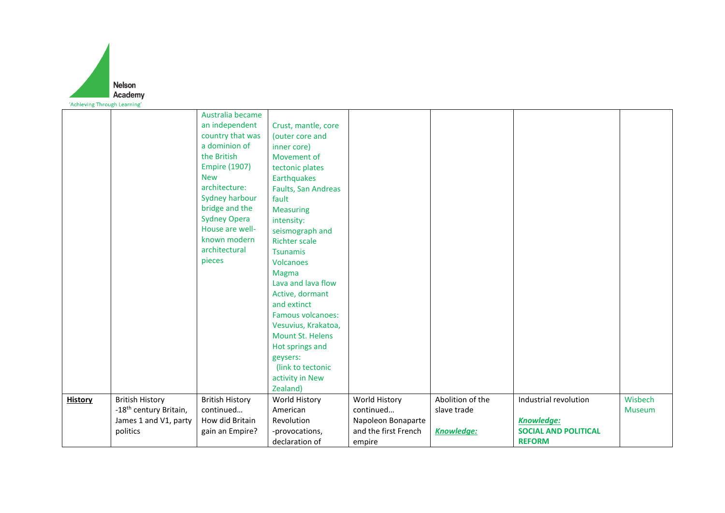

|                |                                    | Australia became       |                          |                      |                  |                             |               |
|----------------|------------------------------------|------------------------|--------------------------|----------------------|------------------|-----------------------------|---------------|
|                |                                    | an independent         | Crust, mantle, core      |                      |                  |                             |               |
|                |                                    | country that was       | (outer core and          |                      |                  |                             |               |
|                |                                    | a dominion of          | inner core)              |                      |                  |                             |               |
|                |                                    | the British            | Movement of              |                      |                  |                             |               |
|                |                                    | <b>Empire (1907)</b>   | tectonic plates          |                      |                  |                             |               |
|                |                                    | <b>New</b>             | Earthquakes              |                      |                  |                             |               |
|                |                                    | architecture:          | Faults, San Andreas      |                      |                  |                             |               |
|                |                                    | <b>Sydney harbour</b>  | fault                    |                      |                  |                             |               |
|                |                                    | bridge and the         | <b>Measuring</b>         |                      |                  |                             |               |
|                |                                    | <b>Sydney Opera</b>    | intensity:               |                      |                  |                             |               |
|                |                                    | House are well-        | seismograph and          |                      |                  |                             |               |
|                |                                    | known modern           | <b>Richter scale</b>     |                      |                  |                             |               |
|                |                                    | architectural          | <b>Tsunamis</b>          |                      |                  |                             |               |
|                |                                    | pieces                 | <b>Volcanoes</b>         |                      |                  |                             |               |
|                |                                    |                        | Magma                    |                      |                  |                             |               |
|                |                                    |                        | Lava and lava flow       |                      |                  |                             |               |
|                |                                    |                        | Active, dormant          |                      |                  |                             |               |
|                |                                    |                        | and extinct              |                      |                  |                             |               |
|                |                                    |                        | <b>Famous volcanoes:</b> |                      |                  |                             |               |
|                |                                    |                        | Vesuvius, Krakatoa,      |                      |                  |                             |               |
|                |                                    |                        | <b>Mount St. Helens</b>  |                      |                  |                             |               |
|                |                                    |                        | Hot springs and          |                      |                  |                             |               |
|                |                                    |                        | geysers:                 |                      |                  |                             |               |
|                |                                    |                        | (link to tectonic        |                      |                  |                             |               |
|                |                                    |                        | activity in New          |                      |                  |                             |               |
|                |                                    |                        | Zealand)                 |                      |                  |                             |               |
| <b>History</b> | <b>British History</b>             | <b>British History</b> | World History            | World History        | Abolition of the | Industrial revolution       | Wisbech       |
|                | -18 <sup>th</sup> century Britain, | continued              | American                 | continued            | slave trade      |                             | <b>Museum</b> |
|                | James 1 and V1, party              | How did Britain        | Revolution               | Napoleon Bonaparte   |                  | <b>Knowledge:</b>           |               |
|                | politics                           | gain an Empire?        | -provocations,           | and the first French | Knowledge:       | <b>SOCIAL AND POLITICAL</b> |               |
|                |                                    |                        | declaration of           | empire               |                  | <b>REFORM</b>               |               |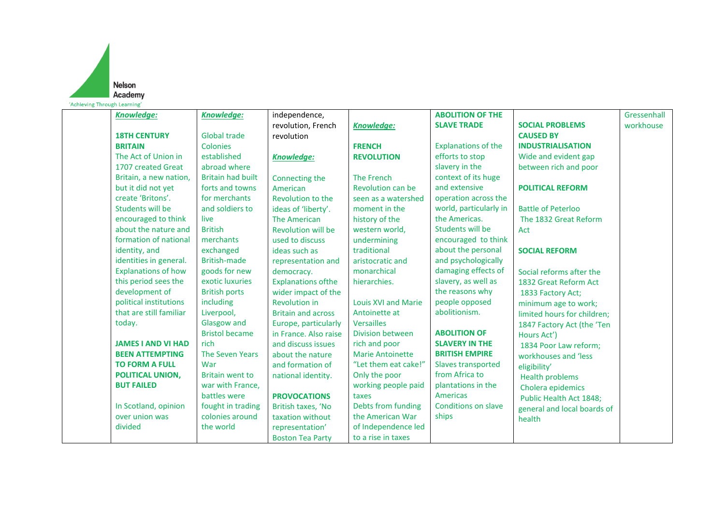

| Knowledge:                 | <b>Knowledge:</b>        | independence,              |                            | <b>ABOLITION OF THE</b>    |                             | Gressenhall |
|----------------------------|--------------------------|----------------------------|----------------------------|----------------------------|-----------------------------|-------------|
|                            |                          | revolution, French         | <b>Knowledge:</b>          | <b>SLAVE TRADE</b>         | <b>SOCIAL PROBLEMS</b>      | workhouse   |
| <b>18TH CENTURY</b>        | <b>Global trade</b>      | revolution                 |                            |                            | <b>CAUSED BY</b>            |             |
| <b>BRITAIN</b>             | Colonies                 |                            | <b>FRENCH</b>              | <b>Explanations of the</b> | <b>INDUSTRIALISATION</b>    |             |
| The Act of Union in        | established              | <b>Knowledge:</b>          | <b>REVOLUTION</b>          | efforts to stop            | Wide and evident gap        |             |
| 1707 created Great         | abroad where             |                            |                            | slavery in the             | between rich and poor       |             |
| Britain, a new nation,     | <b>Britain had built</b> | Connecting the             | The French                 | context of its huge        |                             |             |
| but it did not yet         | forts and towns          | American                   | <b>Revolution can be</b>   | and extensive              | <b>POLITICAL REFORM</b>     |             |
| create 'Britons'.          | for merchants            | Revolution to the          | seen as a watershed        | operation across the       |                             |             |
| Students will be           | and soldiers to          | ideas of 'liberty'.        | moment in the              | world, particularly in     | <b>Battle of Peterloo</b>   |             |
| encouraged to think        | live                     | <b>The American</b>        | history of the             | the Americas.              | The 1832 Great Reform       |             |
| about the nature and       | <b>British</b>           | <b>Revolution will be</b>  | western world,             | Students will be           | Act                         |             |
| formation of national      | merchants                | used to discuss            | undermining                | encouraged to think        |                             |             |
| identity, and              | exchanged                | ideas such as              | traditional                | about the personal         | <b>SOCIAL REFORM</b>        |             |
| identities in general.     | British-made             | representation and         | aristocratic and           | and psychologically        |                             |             |
| <b>Explanations of how</b> | goods for new            | democracy.                 | monarchical                | damaging effects of        | Social reforms after the    |             |
| this period sees the       | exotic luxuries          | <b>Explanations of the</b> | hierarchies.               | slavery, as well as        | 1832 Great Reform Act       |             |
| development of             | <b>British ports</b>     | wider impact of the        |                            | the reasons why            | 1833 Factory Act;           |             |
| political institutions     | including                | <b>Revolution in</b>       | <b>Louis XVI and Marie</b> | people opposed             | minimum age to work;        |             |
| that are still familiar    | Liverpool,               | <b>Britain and across</b>  | Antoinette at              | abolitionism.              | limited hours for children; |             |
| today.                     | Glasgow and              | Europe, particularly       | <b>Versailles</b>          |                            | 1847 Factory Act (the 'Ten  |             |
|                            | <b>Bristol became</b>    | in France. Also raise      | Division between           | <b>ABOLITION OF</b>        | Hours Act')                 |             |
| <b>JAMES I AND VI HAD</b>  | rich                     | and discuss issues         | rich and poor              | <b>SLAVERY IN THE</b>      | 1834 Poor Law reform;       |             |
| <b>BEEN ATTEMPTING</b>     | <b>The Seven Years</b>   | about the nature           | <b>Marie Antoinette</b>    | <b>BRITISH EMPIRE</b>      | workhouses and 'less        |             |
| <b>TO FORM A FULL</b>      | War                      | and formation of           | "Let them eat cake!"       | Slaves transported         | eligibility'                |             |
| POLITICAL UNION,           | <b>Britain went to</b>   | national identity.         | Only the poor              | from Africa to             | <b>Health problems</b>      |             |
| <b>BUT FAILED</b>          | war with France,         |                            | working people paid        | plantations in the         | Cholera epidemics           |             |
|                            | battles were             | <b>PROVOCATIONS</b>        | taxes                      | Americas                   | Public Health Act 1848;     |             |
| In Scotland, opinion       | fought in trading        | British taxes, 'No         | Debts from funding         | <b>Conditions on slave</b> | general and local boards of |             |
| over union was             | colonies around          | taxation without           | the American War           | ships                      | health                      |             |
| divided                    | the world                | representation'            | of Independence led        |                            |                             |             |
|                            |                          | <b>Boston Tea Party</b>    | to a rise in taxes         |                            |                             |             |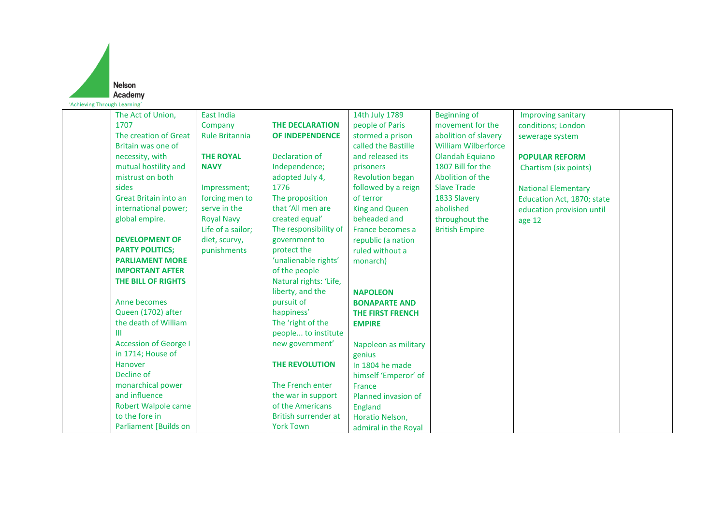

| The Act of Union,            | <b>East India</b>     |                             | 14th July 1789          | <b>Beginning of</b>        | <b>Improving sanitary</b>  |  |
|------------------------------|-----------------------|-----------------------------|-------------------------|----------------------------|----------------------------|--|
| 1707                         | Company               | <b>THE DECLARATION</b>      | people of Paris         | movement for the           | conditions; London         |  |
| The creation of Great        | <b>Rule Britannia</b> | <b>OF INDEPENDENCE</b>      | stormed a prison        | abolition of slavery       | sewerage system            |  |
| Britain was one of           |                       |                             | called the Bastille     | <b>William Wilberforce</b> |                            |  |
| necessity, with              | <b>THE ROYAL</b>      | Declaration of              | and released its        | Olandah Equiano            | <b>POPULAR REFORM</b>      |  |
| mutual hostility and         | <b>NAVY</b>           | Independence;               | prisoners               | 1807 Bill for the          | Chartism (six points)      |  |
| mistrust on both             |                       | adopted July 4,             | <b>Revolution began</b> | Abolition of the           |                            |  |
| sides                        | Impressment;          | 1776                        | followed by a reign     | <b>Slave Trade</b>         | <b>National Elementary</b> |  |
| Great Britain into an        | forcing men to        | The proposition             | of terror               | 1833 Slavery               | Education Act, 1870; state |  |
| international power;         | serve in the          | that 'All men are           | <b>King and Queen</b>   | abolished                  | education provision until  |  |
| global empire.               | <b>Royal Navy</b>     | created equal'              | beheaded and            | throughout the             | age 12                     |  |
|                              | Life of a sailor;     | The responsibility of       | France becomes a        | <b>British Empire</b>      |                            |  |
| <b>DEVELOPMENT OF</b>        | diet, scurvy,         | government to               | republic (a nation      |                            |                            |  |
| <b>PARTY POLITICS;</b>       | punishments           | protect the                 | ruled without a         |                            |                            |  |
| <b>PARLIAMENT MORE</b>       |                       | 'unalienable rights'        | monarch)                |                            |                            |  |
| <b>IMPORTANT AFTER</b>       |                       | of the people               |                         |                            |                            |  |
| THE BILL OF RIGHTS           |                       | Natural rights: 'Life,      |                         |                            |                            |  |
|                              |                       | liberty, and the            | <b>NAPOLEON</b>         |                            |                            |  |
| Anne becomes                 |                       | pursuit of                  | <b>BONAPARTE AND</b>    |                            |                            |  |
| Queen (1702) after           |                       | happiness'                  | <b>THE FIRST FRENCH</b> |                            |                            |  |
| the death of William         |                       | The 'right of the           | <b>EMPIRE</b>           |                            |                            |  |
| Ш                            |                       | people to institute         |                         |                            |                            |  |
| <b>Accession of George I</b> |                       | new government'             | Napoleon as military    |                            |                            |  |
| in 1714; House of            |                       |                             | genius                  |                            |                            |  |
| Hanover                      |                       | <b>THE REVOLUTION</b>       | In 1804 he made         |                            |                            |  |
| Decline of                   |                       |                             | himself 'Emperor' of    |                            |                            |  |
| monarchical power            |                       | The French enter            | France                  |                            |                            |  |
| and influence                |                       | the war in support          | Planned invasion of     |                            |                            |  |
| <b>Robert Walpole came</b>   |                       | of the Americans            | <b>England</b>          |                            |                            |  |
| to the fore in               |                       | <b>British surrender at</b> | Horatio Nelson,         |                            |                            |  |
| <b>Parliament [Builds on</b> |                       | <b>York Town</b>            | admiral in the Royal    |                            |                            |  |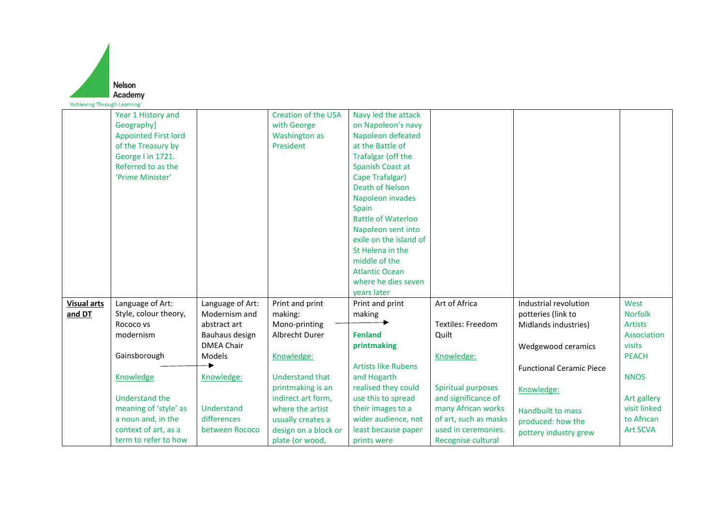|                              | Nelson                           |                   |                                    |                                           |                          |                                 |                 |
|------------------------------|----------------------------------|-------------------|------------------------------------|-------------------------------------------|--------------------------|---------------------------------|-----------------|
|                              | Academy                          |                   |                                    |                                           |                          |                                 |                 |
| 'Achieving Through Learning' |                                  |                   |                                    |                                           |                          |                                 |                 |
|                              | Year 1 History and<br>Geography] |                   | Creation of the USA<br>with George | Navy led the attack<br>on Napoleon's navy |                          |                                 |                 |
|                              | <b>Appointed First lord</b>      |                   | <b>Washington as</b>               | Napoleon defeated                         |                          |                                 |                 |
|                              | of the Treasury by               |                   | President                          | at the Battle of                          |                          |                                 |                 |
|                              | George I in 1721.                |                   |                                    | Trafalgar (off the                        |                          |                                 |                 |
|                              | Referred to as the               |                   |                                    | Spanish Coast at                          |                          |                                 |                 |
|                              | 'Prime Minister'                 |                   |                                    | Cape Trafalgar)                           |                          |                                 |                 |
|                              |                                  |                   |                                    | Death of Nelson                           |                          |                                 |                 |
|                              |                                  |                   |                                    | Napoleon invades                          |                          |                                 |                 |
|                              |                                  |                   |                                    | Spain                                     |                          |                                 |                 |
|                              |                                  |                   |                                    | <b>Battle of Waterloo</b>                 |                          |                                 |                 |
|                              |                                  |                   |                                    | Napoleon sent into                        |                          |                                 |                 |
|                              |                                  |                   |                                    | exile on the island of                    |                          |                                 |                 |
|                              |                                  |                   |                                    | St Helena in the                          |                          |                                 |                 |
|                              |                                  |                   |                                    | middle of the                             |                          |                                 |                 |
|                              |                                  |                   |                                    | <b>Atlantic Ocean</b>                     |                          |                                 |                 |
|                              |                                  |                   |                                    | where he dies seven                       |                          |                                 |                 |
| <b>Visual arts</b>           | Language of Art:                 | Language of Art:  | Print and print                    | years later<br>Print and print            | Art of Africa            | Industrial revolution           | West            |
| and DT                       | Style, colour theory,            | Modernism and     | making:                            | making                                    |                          | potteries (link to              | <b>Norfolk</b>  |
|                              | Rococo vs                        | abstract art      | Mono-printing                      |                                           | <b>Textiles: Freedom</b> | Midlands industries)            | <b>Artists</b>  |
|                              | modernism                        | Bauhaus design    | Albrecht Durer                     | <b>Fenland</b>                            | Quilt                    |                                 | Association     |
|                              |                                  | <b>DMEA Chair</b> |                                    | printmaking                               |                          | Wedgewood ceramics              | visits          |
|                              | Gainsborough                     | Models            | Knowledge:                         |                                           | Knowledge:               |                                 | <b>PEACH</b>    |
|                              |                                  |                   |                                    | <b>Artists like Rubens</b>                |                          | <b>Functional Ceramic Piece</b> |                 |
|                              | Knowledge                        | Knowledge:        | <b>Understand that</b>             | and Hogarth                               |                          |                                 | <b>NNOS</b>     |
|                              |                                  |                   | printmaking is an                  | realised they could                       | Spiritual purposes       | Knowledge:                      |                 |
|                              | Understand the                   |                   | indirect art form,                 | use this to spread                        | and significance of      |                                 | Art gallery     |
|                              | meaning of 'style' as            | Understand        | where the artist                   | their images to a                         | many African works       | <b>Handbuilt to mass</b>        | visit linked    |
|                              | a noun and, in the               | differences       | usually creates a                  | wider audience, not                       | of art, such as masks    | produced: how the               | to African      |
|                              | context of art, as a             | between Rococo    | design on a block or               | least because paper                       | used in ceremonies.      | pottery industry grew           | <b>Art SCVA</b> |
|                              | term to refer to how             |                   | plate (or wood,                    | prints were                               | Recognise cultural       |                                 |                 |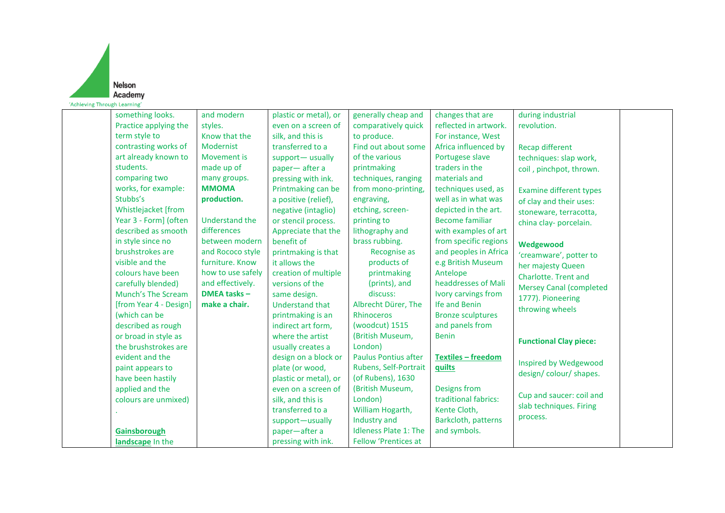

| something looks.          | and modern          | plastic or metal), or  | generally cheap and          | changes that are          | during industrial                                   |
|---------------------------|---------------------|------------------------|------------------------------|---------------------------|-----------------------------------------------------|
| Practice applying the     | styles.             | even on a screen of    | comparatively quick          | reflected in artwork.     | revolution.                                         |
| term style to             | Know that the       | silk, and this is      | to produce.                  | For instance, West        |                                                     |
| contrasting works of      | <b>Modernist</b>    | transferred to a       | Find out about some          | Africa influenced by      | <b>Recap different</b>                              |
| art already known to      | Movement is         | support-usually        | of the various               | Portugese slave           | techniques: slap work,                              |
| students.                 | made up of          | paper-after a          | printmaking                  | traders in the            | coil, pinchpot, thrown.                             |
| comparing two             | many groups.        | pressing with ink.     | techniques, ranging          | materials and             |                                                     |
| works, for example:       | <b>MMOMA</b>        | Printmaking can be     | from mono-printing,          | techniques used, as       | <b>Examine different types</b>                      |
| Stubbs's                  | production.         | a positive (relief),   | engraving,                   | well as in what was       | of clay and their uses:                             |
| Whistlejacket [from       |                     | negative (intaglio)    | etching, screen-             | depicted in the art.      | stoneware, terracotta,                              |
| Year 3 - Form] (often     | Understand the      | or stencil process.    | printing to                  | <b>Become familiar</b>    | china clay- porcelain.                              |
| described as smooth       | differences         | Appreciate that the    | lithography and              | with examples of art      |                                                     |
| in style since no         | between modern      | benefit of             | brass rubbing.               | from specific regions     | Wedgewood                                           |
| brushstrokes are          | and Rococo style    | printmaking is that    | Recognise as                 | and peoples in Africa     | 'creamware', potter to                              |
| visible and the           | furniture. Know     | it allows the          | products of                  | e.g British Museum        | her majesty Queen                                   |
| colours have been         | how to use safely   | creation of multiple   | printmaking                  | Antelope                  | Charlotte. Trent and                                |
| carefully blended)        | and effectively.    | versions of the        | (prints), and                | headdresses of Mali       | <b>Mersey Canal (completed</b>                      |
| <b>Munch's The Scream</b> | <b>DMEA tasks -</b> | same design.           | discuss:                     | Ivory carvings from       | 1777). Pioneering                                   |
| [from Year 4 - Design]    | make a chair.       | <b>Understand that</b> | Albrecht Dürer, The          | Ife and Benin             | throwing wheels                                     |
| (which can be             |                     | printmaking is an      | <b>Rhinoceros</b>            | <b>Bronze sculptures</b>  |                                                     |
| described as rough        |                     | indirect art form,     | (woodcut) 1515               | and panels from           |                                                     |
| or broad in style as      |                     | where the artist       | (British Museum,             | <b>Benin</b>              | <b>Functional Clay piece:</b>                       |
| the brushstrokes are      |                     | usually creates a      | London)                      |                           |                                                     |
| evident and the           |                     | design on a block or   | <b>Paulus Pontius after</b>  | <b>Textiles - freedom</b> | Inspired by Wedgewood                               |
| paint appears to          |                     | plate (or wood,        | Rubens, Self-Portrait        | <b>guilts</b>             | design/colour/shapes.                               |
| have been hastily         |                     | plastic or metal), or  | (of Rubens), 1630            |                           |                                                     |
| applied and the           |                     | even on a screen of    | (British Museum,             | Designs from              |                                                     |
| colours are unmixed)      |                     | silk, and this is      | London)                      | traditional fabrics:      | Cup and saucer: coil and<br>slab techniques. Firing |
|                           |                     | transferred to a       | William Hogarth,             | Kente Cloth,              |                                                     |
|                           |                     | support-usually        | Industry and                 | Barkcloth, patterns       | process.                                            |
| Gainsborough              |                     | paper-after a          | <b>Idleness Plate 1: The</b> | and symbols.              |                                                     |
| landscape In the          |                     | pressing with ink.     | <b>Fellow 'Prentices at</b>  |                           |                                                     |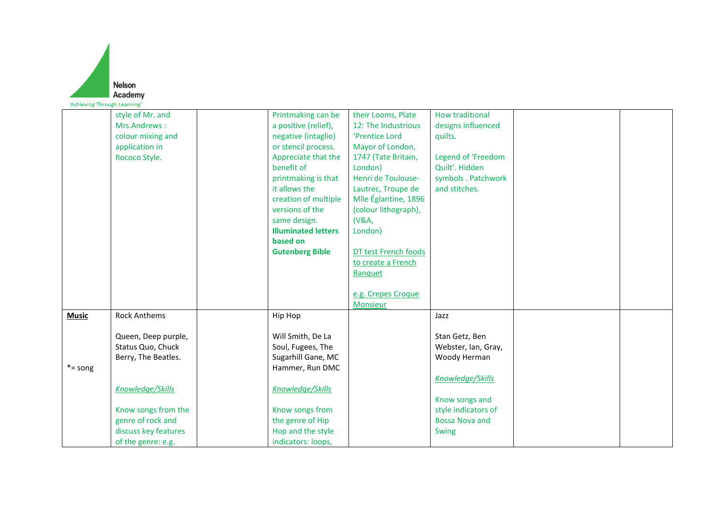|                              | <b>Nelson</b>                             |                                            |                      |                                              |  |
|------------------------------|-------------------------------------------|--------------------------------------------|----------------------|----------------------------------------------|--|
|                              | Academy                                   |                                            |                      |                                              |  |
| 'Achieving Through Learning' |                                           |                                            |                      |                                              |  |
|                              | style of Mr. and                          | Printmaking can be                         | their Looms, Plate   | <b>How traditional</b>                       |  |
|                              | Mrs.Andrews:                              | a positive (relief),                       | 12: The Industrious  | designs influenced                           |  |
|                              | colour mixing and                         | negative (intaglio)                        | 'Prentice Lord       | quilts.                                      |  |
|                              | application in                            | or stencil process.                        | Mayor of London,     |                                              |  |
|                              | Rococo Style.                             | Appreciate that the                        | 1747 (Tate Britain,  | Legend of 'Freedom                           |  |
|                              |                                           | benefit of                                 | London)              | Quilt'. Hidden                               |  |
|                              |                                           | printmaking is that                        | Henri de Toulouse-   | symbols . Patchwork                          |  |
|                              |                                           | it allows the                              | Lautrec, Troupe de   | and stitches.                                |  |
|                              |                                           | creation of multiple                       | Mlle Églantine, 1896 |                                              |  |
|                              |                                           | versions of the                            | (colour lithograph), |                                              |  |
|                              |                                           | same design.<br><b>Illuminated letters</b> | (V&A,<br>London)     |                                              |  |
|                              |                                           | based on                                   |                      |                                              |  |
|                              |                                           | <b>Gutenberg Bible</b>                     | DT test French foods |                                              |  |
|                              |                                           |                                            | to create a French   |                                              |  |
|                              |                                           |                                            | <b>Banquet</b>       |                                              |  |
|                              |                                           |                                            |                      |                                              |  |
|                              |                                           |                                            | e.g. Crepes Croque   |                                              |  |
|                              |                                           |                                            | <b>Monsieur</b>      |                                              |  |
| <b>Music</b>                 | <b>Rock Anthems</b>                       | Hip Hop                                    |                      | Jazz                                         |  |
|                              |                                           |                                            |                      |                                              |  |
|                              | Queen, Deep purple,                       | Will Smith, De La                          |                      | Stan Getz, Ben                               |  |
|                              | Status Quo, Chuck                         | Soul, Fugees, The                          |                      | Webster, Ian, Gray,                          |  |
|                              | Berry, The Beatles.                       | Sugarhill Gane, MC                         |                      | Woody Herman                                 |  |
| $* =$ song                   |                                           | Hammer, Run DMC                            |                      |                                              |  |
|                              |                                           |                                            |                      | Knowledge/Skills                             |  |
|                              | Knowledge/Skills                          | Knowledge/Skills                           |                      |                                              |  |
|                              |                                           |                                            |                      | Know songs and                               |  |
|                              | Know songs from the                       | Know songs from                            |                      | style indicators of<br><b>Bossa Nova and</b> |  |
|                              | genre of rock and<br>discuss key features | the genre of Hip<br>Hop and the style      |                      | Swing                                        |  |
|                              | of the genre: e.g.                        | indicators: loops,                         |                      |                                              |  |
|                              |                                           |                                            |                      |                                              |  |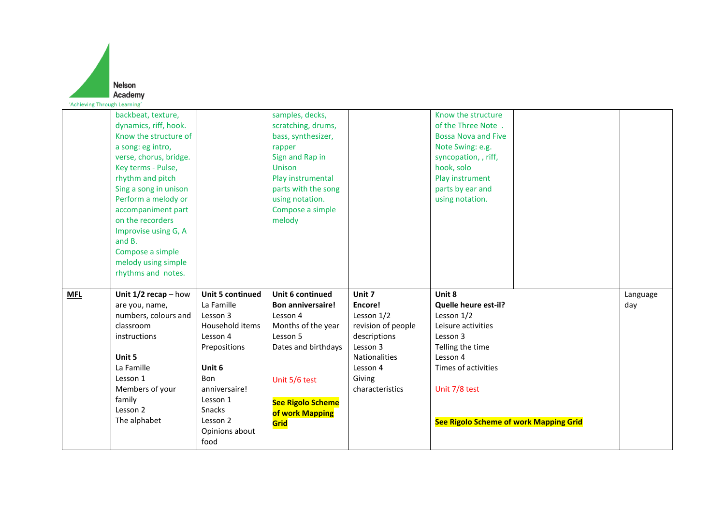| 'Achieving Through Learning' | <b>Nelson</b><br>Academy                                                                                                                                                                                                                                                                                                                                   |                                                                                                                                                                                                              |                                                                                                                                                                                                 |                                                                                                                                                    |                                                                                                                                                                                                         |                 |
|------------------------------|------------------------------------------------------------------------------------------------------------------------------------------------------------------------------------------------------------------------------------------------------------------------------------------------------------------------------------------------------------|--------------------------------------------------------------------------------------------------------------------------------------------------------------------------------------------------------------|-------------------------------------------------------------------------------------------------------------------------------------------------------------------------------------------------|----------------------------------------------------------------------------------------------------------------------------------------------------|---------------------------------------------------------------------------------------------------------------------------------------------------------------------------------------------------------|-----------------|
|                              | backbeat, texture,<br>dynamics, riff, hook.<br>Know the structure of<br>a song: eg intro,<br>verse, chorus, bridge.<br>Key terms - Pulse,<br>rhythm and pitch<br>Sing a song in unison<br>Perform a melody or<br>accompaniment part<br>on the recorders<br>Improvise using G, A<br>and B.<br>Compose a simple<br>melody using simple<br>rhythms and notes. |                                                                                                                                                                                                              | samples, decks,<br>scratching, drums,<br>bass, synthesizer,<br>rapper<br>Sign and Rap in<br>Unison<br>Play instrumental<br>parts with the song<br>using notation.<br>Compose a simple<br>melody |                                                                                                                                                    | Know the structure<br>of the Three Note.<br><b>Bossa Nova and Five</b><br>Note Swing: e.g.<br>syncopation, , riff,<br>hook, solo<br>Play instrument<br>parts by ear and<br>using notation.              |                 |
| <b>MFL</b>                   | Unit $1/2$ recap - how<br>are you, name,<br>numbers, colours and<br>classroom<br>instructions<br>Unit 5<br>La Famille<br>Lesson 1<br>Members of your<br>family<br>Lesson 2<br>The alphabet                                                                                                                                                                 | <b>Unit 5 continued</b><br>La Famille<br>Lesson 3<br>Household items<br>Lesson 4<br>Prepositions<br>Unit 6<br><b>Bon</b><br>anniversaire!<br>Lesson 1<br><b>Snacks</b><br>Lesson 2<br>Opinions about<br>food | Unit 6 continued<br><b>Bon anniversaire!</b><br>Lesson 4<br>Months of the year<br>Lesson 5<br>Dates and birthdays<br>Unit 5/6 test<br><b>See Rigolo Scheme</b><br>of work Mapping<br>Grid       | Unit 7<br>Encore!<br>Lesson 1/2<br>revision of people<br>descriptions<br>Lesson 3<br><b>Nationalities</b><br>Lesson 4<br>Giving<br>characteristics | Unit 8<br>Quelle heure est-il?<br>Lesson 1/2<br>Leisure activities<br>Lesson 3<br>Telling the time<br>Lesson 4<br>Times of activities<br>Unit 7/8 test<br><b>See Rigolo Scheme of work Mapping Grid</b> | Language<br>day |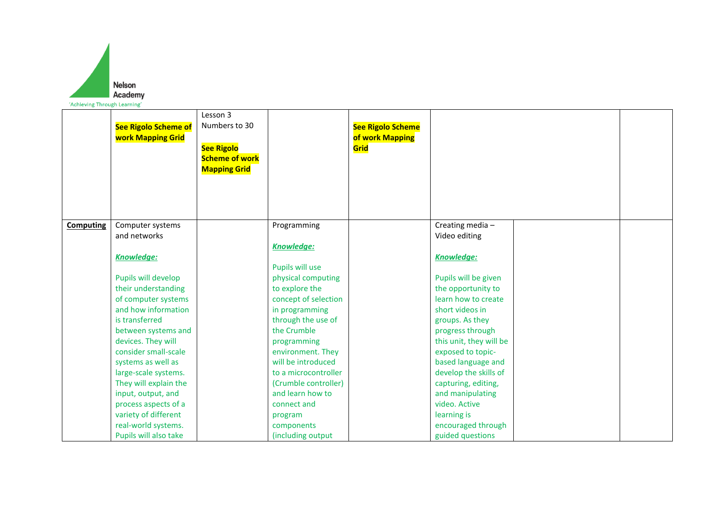

|                  | <b>See Rigolo Scheme of</b><br><b>work Mapping Grid</b> | Lesson 3<br>Numbers to 30<br><b>See Rigolo</b><br><b>Scheme of work</b><br><b>Mapping Grid</b> |                      | <b>See Rigolo Scheme</b><br>of work Mapping<br>Grid |                         |  |
|------------------|---------------------------------------------------------|------------------------------------------------------------------------------------------------|----------------------|-----------------------------------------------------|-------------------------|--|
| <b>Computing</b> | Computer systems                                        |                                                                                                | Programming          |                                                     | Creating media-         |  |
|                  | and networks                                            |                                                                                                |                      |                                                     | Video editing           |  |
|                  |                                                         |                                                                                                | <b>Knowledge:</b>    |                                                     |                         |  |
|                  | <b>Knowledge:</b>                                       |                                                                                                |                      |                                                     | <b>Knowledge:</b>       |  |
|                  |                                                         |                                                                                                | Pupils will use      |                                                     |                         |  |
|                  | Pupils will develop                                     |                                                                                                | physical computing   |                                                     | Pupils will be given    |  |
|                  | their understanding                                     |                                                                                                | to explore the       |                                                     | the opportunity to      |  |
|                  | of computer systems                                     |                                                                                                | concept of selection |                                                     | learn how to create     |  |
|                  | and how information                                     |                                                                                                | in programming       |                                                     | short videos in         |  |
|                  | is transferred                                          |                                                                                                | through the use of   |                                                     | groups. As they         |  |
|                  | between systems and                                     |                                                                                                | the Crumble          |                                                     | progress through        |  |
|                  | devices. They will                                      |                                                                                                | programming          |                                                     | this unit, they will be |  |
|                  | consider small-scale                                    |                                                                                                | environment. They    |                                                     | exposed to topic-       |  |
|                  | systems as well as                                      |                                                                                                | will be introduced   |                                                     | based language and      |  |
|                  | large-scale systems.                                    |                                                                                                | to a microcontroller |                                                     | develop the skills of   |  |
|                  | They will explain the                                   |                                                                                                | (Crumble controller) |                                                     | capturing, editing,     |  |
|                  | input, output, and                                      |                                                                                                | and learn how to     |                                                     | and manipulating        |  |
|                  | process aspects of a                                    |                                                                                                | connect and          |                                                     | video. Active           |  |
|                  | variety of different                                    |                                                                                                | program              |                                                     | learning is             |  |
|                  | real-world systems.                                     |                                                                                                | components           |                                                     | encouraged through      |  |
|                  | Pupils will also take                                   |                                                                                                | (including output    |                                                     | guided questions        |  |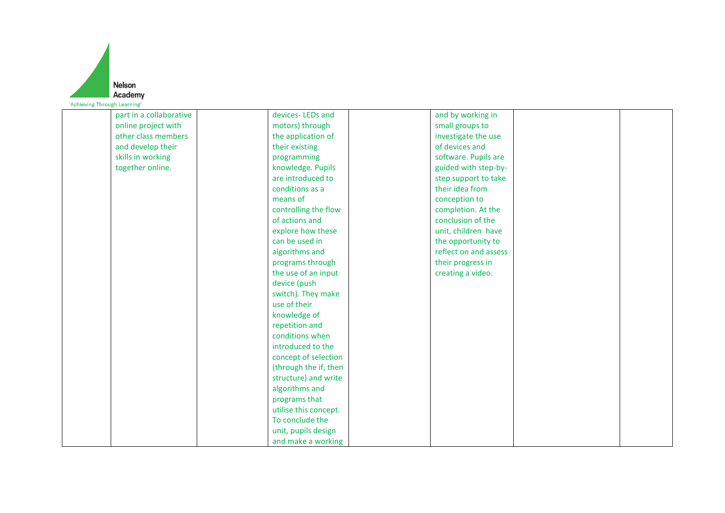|                              | <b>Nelson</b> |
|------------------------------|---------------|
|                              | Academy       |
| 'Achieving Through Learning' |               |

| part in a collaborative | devices-LEDs and      | and by working in     |  |
|-------------------------|-----------------------|-----------------------|--|
| online project with     | motors) through       | small groups to       |  |
| other class members     | the application of    | investigate the use   |  |
| and develop their       | their existing        | of devices and        |  |
| skills in working       | programming           | software. Pupils are  |  |
| together online.        | knowledge. Pupils     | guided with step-by-  |  |
|                         | are introduced to     | step support to take  |  |
|                         | conditions as a       | their idea from       |  |
|                         | means of              | conception to         |  |
|                         | controlling the flow  | completion. At the    |  |
|                         | of actions and        | conclusion of the     |  |
|                         | explore how these     | unit, children have   |  |
|                         | can be used in        | the opportunity to    |  |
|                         | algorithms and        | reflect on and assess |  |
|                         | programs through      | their progress in     |  |
|                         | the use of an input   | creating a video.     |  |
|                         | device (push          |                       |  |
|                         | switch). They make    |                       |  |
|                         | use of their          |                       |  |
|                         | knowledge of          |                       |  |
|                         | repetition and        |                       |  |
|                         | conditions when       |                       |  |
|                         | introduced to the     |                       |  |
|                         | concept of selection  |                       |  |
|                         | (through the if, then |                       |  |
|                         | structure) and write  |                       |  |
|                         | algorithms and        |                       |  |
|                         | programs that         |                       |  |
|                         | utilise this concept. |                       |  |
|                         | To conclude the       |                       |  |
|                         | unit, pupils design   |                       |  |
|                         | and make a working    |                       |  |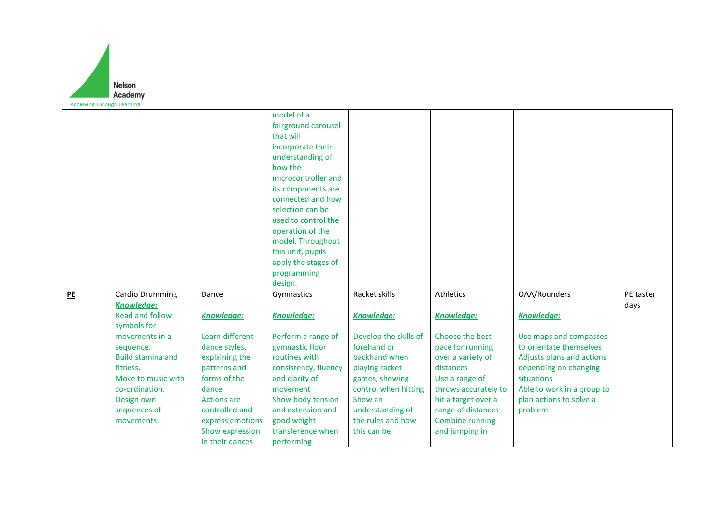

|    |                          |                                    | model of a                      |                       |                      |                            |           |
|----|--------------------------|------------------------------------|---------------------------------|-----------------------|----------------------|----------------------------|-----------|
|    |                          |                                    | fairground carousel             |                       |                      |                            |           |
|    |                          |                                    | that will                       |                       |                      |                            |           |
|    |                          |                                    | incorporate their               |                       |                      |                            |           |
|    |                          |                                    | understanding of                |                       |                      |                            |           |
|    |                          |                                    | how the                         |                       |                      |                            |           |
|    |                          |                                    | microcontroller and             |                       |                      |                            |           |
|    |                          |                                    | its components are              |                       |                      |                            |           |
|    |                          |                                    | connected and how               |                       |                      |                            |           |
|    |                          |                                    | selection can be                |                       |                      |                            |           |
|    |                          |                                    | used to control the             |                       |                      |                            |           |
|    |                          |                                    | operation of the                |                       |                      |                            |           |
|    |                          |                                    | model. Throughout               |                       |                      |                            |           |
|    |                          |                                    | this unit, pupils               |                       |                      |                            |           |
|    |                          |                                    | apply the stages of             |                       |                      |                            |           |
|    |                          |                                    | programming                     |                       |                      |                            |           |
|    |                          |                                    | design.                         |                       |                      |                            |           |
| PE | Cardio Drumming          | Dance                              | Gymnastics                      | Racket skills         | Athletics            | <b>OAA/Rounders</b>        | PE taster |
|    | Knowledge:               |                                    |                                 |                       |                      |                            | days      |
|    | Read and follow          | <b>Knowledge:</b>                  | <b>Knowledge:</b>               | Knowledge:            | <b>Knowledge:</b>    | <b>Knowledge:</b>          |           |
|    | symbols for              |                                    |                                 |                       |                      |                            |           |
|    | movements in a           | Learn different                    | Perform a range of              | Develop the skills of | Choose the best      | Use maps and compasses     |           |
|    | sequence.                | dance styles,                      | gymnastic floor                 | forehand or           | pace for running     | to orientate themselves    |           |
|    | <b>Build stamina and</b> | explaining the                     | routines with                   | backhand when         | over a variety of    | Adjusts plans and actions  |           |
|    | fitness.                 | patterns and                       | consistency, fluency            | playing racket        | distances            | depending on changing      |           |
|    | Move to music with       | forms of the                       | and clarity of                  |                       |                      | situations                 |           |
|    |                          |                                    |                                 | games, showing        | Use a range of       |                            |           |
|    | co-ordination.           | dance                              | movement                        | control when hitting  | throws accurately to | Able to work in a group to |           |
|    | Design own               | <b>Actions</b> are                 | Show body tension               | Show an               | hit a target over a  | plan actions to solve a    |           |
|    | sequences of             | controlled and                     | and extension and               | understanding of      | range of distances   | problem                    |           |
|    |                          |                                    |                                 | the rules and how     |                      |                            |           |
|    | movements.               | express emotions                   | good weight                     |                       | Combine running      |                            |           |
|    |                          | Show expression<br>in their dances | transference when<br>performing | this can be           | and jumping in       |                            |           |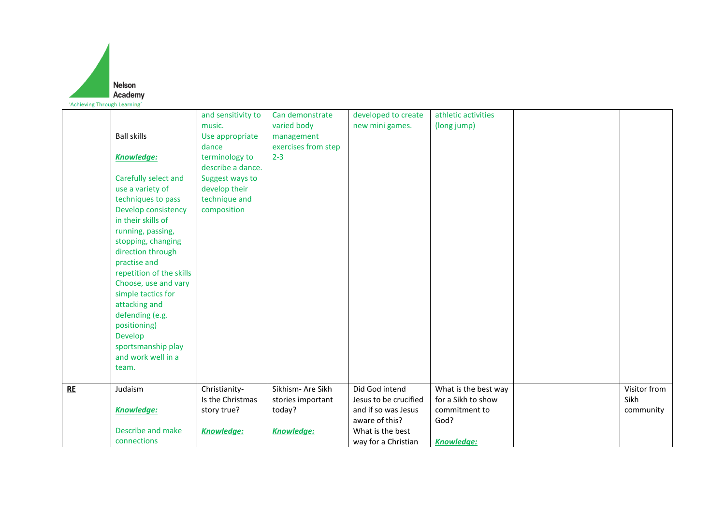

|           | <b>Ball skills</b><br><b>Knowledge:</b><br>Carefully select and<br>use a variety of<br>techniques to pass<br>Develop consistency<br>in their skills of<br>running, passing,<br>stopping, changing<br>direction through<br>practise and<br>repetition of the skills<br>Choose, use and vary<br>simple tactics for<br>attacking and<br>defending (e.g.<br>positioning)<br>Develop<br>sportsmanship play<br>and work well in a<br>team. | and sensitivity to<br>music.<br>Use appropriate<br>dance<br>terminology to<br>describe a dance.<br>Suggest ways to<br>develop their<br>technique and<br>composition | Can demonstrate<br>varied body<br>management<br>exercises from step<br>$2 - 3$ | developed to create<br>new mini games.                                                                                      | athletic activities<br>(long jump)                                                       |                                   |
|-----------|--------------------------------------------------------------------------------------------------------------------------------------------------------------------------------------------------------------------------------------------------------------------------------------------------------------------------------------------------------------------------------------------------------------------------------------|---------------------------------------------------------------------------------------------------------------------------------------------------------------------|--------------------------------------------------------------------------------|-----------------------------------------------------------------------------------------------------------------------------|------------------------------------------------------------------------------------------|-----------------------------------|
| <b>RE</b> | Judaism<br><b>Knowledge:</b><br>Describe and make<br>connections                                                                                                                                                                                                                                                                                                                                                                     | Christianity-<br>Is the Christmas<br>story true?<br><b>Knowledge:</b>                                                                                               | Sikhism- Are Sikh<br>stories important<br>today?<br>Knowledge:                 | Did God intend<br>Jesus to be crucified<br>and if so was Jesus<br>aware of this?<br>What is the best<br>way for a Christian | What is the best way<br>for a Sikh to show<br>commitment to<br>God?<br><b>Knowledge:</b> | Visitor from<br>Sikh<br>community |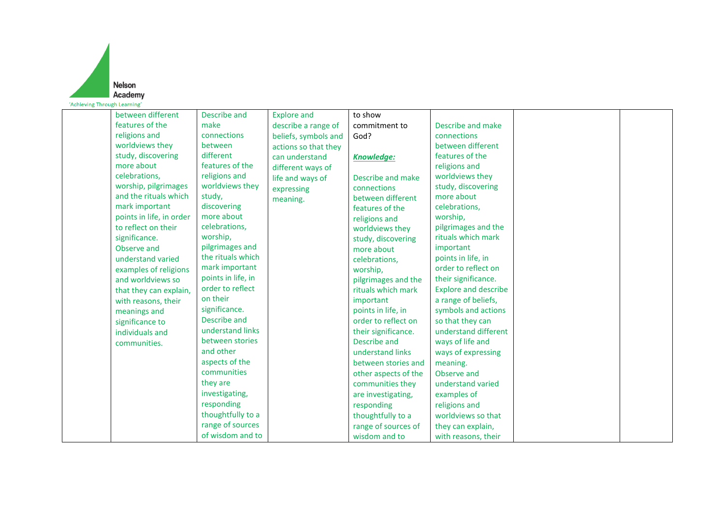

| between different        | Describe and       | <b>Explore and</b>   | to show              |                             |  |
|--------------------------|--------------------|----------------------|----------------------|-----------------------------|--|
| features of the          | make               | describe a range of  | commitment to        | Describe and make           |  |
| religions and            | connections        | beliefs, symbols and | God?                 | connections                 |  |
| worldviews they          | between            | actions so that they |                      | between different           |  |
| study, discovering       | different          | can understand       | <b>Knowledge:</b>    | features of the             |  |
| more about               | features of the    | different ways of    |                      | religions and               |  |
| celebrations,            | religions and      | life and ways of     | Describe and make    | worldviews they             |  |
| worship, pilgrimages     | worldviews they    | expressing           | connections          | study, discovering          |  |
| and the rituals which    | study,             | meaning.             | between different    | more about                  |  |
| mark important           | discovering        |                      | features of the      | celebrations,               |  |
| points in life, in order | more about         |                      | religions and        | worship,                    |  |
| to reflect on their      | celebrations,      |                      | worldviews they      | pilgrimages and the         |  |
| significance.            | worship,           |                      | study, discovering   | rituals which mark          |  |
| Observe and              | pilgrimages and    |                      | more about           | important                   |  |
| understand varied        | the rituals which  |                      | celebrations,        | points in life, in          |  |
| examples of religions    | mark important     |                      | worship,             | order to reflect on         |  |
| and worldviews so        | points in life, in |                      | pilgrimages and the  | their significance.         |  |
| that they can explain,   | order to reflect   |                      | rituals which mark   | <b>Explore and describe</b> |  |
| with reasons, their      | on their           |                      | important            | a range of beliefs,         |  |
| meanings and             | significance.      |                      | points in life, in   | symbols and actions         |  |
| significance to          | Describe and       |                      | order to reflect on  | so that they can            |  |
| individuals and          | understand links   |                      | their significance.  | understand different        |  |
| communities.             | between stories    |                      | Describe and         | ways of life and            |  |
|                          | and other          |                      | understand links     | ways of expressing          |  |
|                          | aspects of the     |                      | between stories and  | meaning.                    |  |
|                          | communities        |                      | other aspects of the | Observe and                 |  |
|                          | they are           |                      | communities they     | understand varied           |  |
|                          | investigating,     |                      | are investigating,   | examples of                 |  |
|                          | responding         |                      | responding           | religions and               |  |
|                          | thoughtfully to a  |                      | thoughtfully to a    | worldviews so that          |  |
|                          | range of sources   |                      | range of sources of  | they can explain,           |  |
|                          | of wisdom and to   |                      | wisdom and to        | with reasons, their         |  |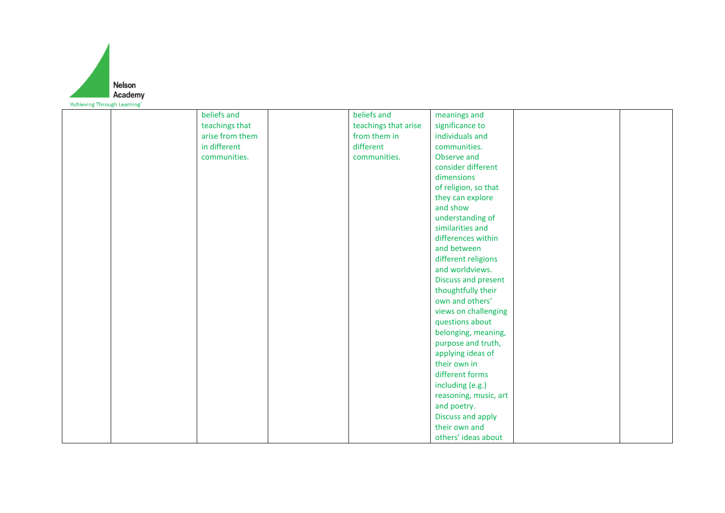

| beliefs and     | beliefs and          | meanings and          |  |
|-----------------|----------------------|-----------------------|--|
| teachings that  | teachings that arise | significance to       |  |
| arise from them | from them in         | individuals and       |  |
| in different    | different            | communities.          |  |
| communities.    | communities.         | Observe and           |  |
|                 |                      | consider different    |  |
|                 |                      | dimensions            |  |
|                 |                      | of religion, so that  |  |
|                 |                      | they can explore      |  |
|                 |                      | and show              |  |
|                 |                      | understanding of      |  |
|                 |                      | similarities and      |  |
|                 |                      | differences within    |  |
|                 |                      | and between           |  |
|                 |                      | different religions   |  |
|                 |                      | and worldviews.       |  |
|                 |                      | Discuss and present   |  |
|                 |                      | thoughtfully their    |  |
|                 |                      | own and others'       |  |
|                 |                      | views on challenging  |  |
|                 |                      | questions about       |  |
|                 |                      | belonging, meaning,   |  |
|                 |                      | purpose and truth,    |  |
|                 |                      | applying ideas of     |  |
|                 |                      | their own in          |  |
|                 |                      | different forms       |  |
|                 |                      | including (e.g.)      |  |
|                 |                      | reasoning, music, art |  |
|                 |                      | and poetry.           |  |
|                 |                      | Discuss and apply     |  |
|                 |                      | their own and         |  |
|                 |                      | others' ideas about   |  |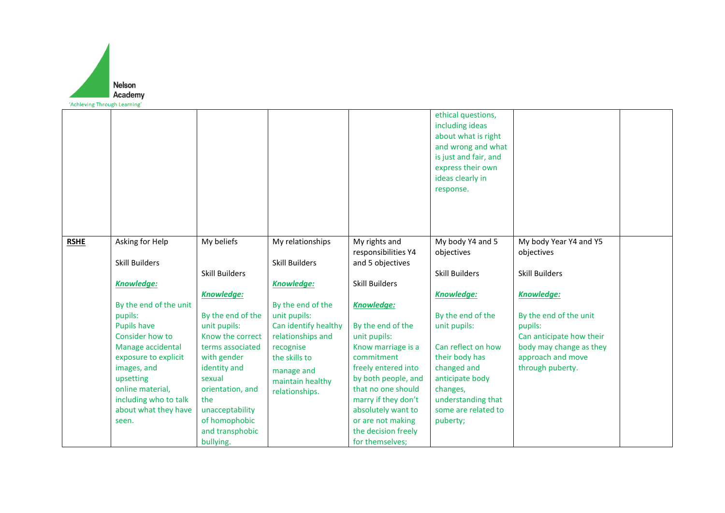

|             |                                     |                             |                                    |                                            | ethical questions,<br>including ideas<br>about what is right<br>and wrong and what<br>is just and fair, and<br>express their own<br>ideas clearly in<br>response. |                                       |  |
|-------------|-------------------------------------|-----------------------------|------------------------------------|--------------------------------------------|-------------------------------------------------------------------------------------------------------------------------------------------------------------------|---------------------------------------|--|
| <b>RSHE</b> | Asking for Help                     | My beliefs                  | My relationships                   | My rights and<br>responsibilities Y4       | My body Y4 and 5<br>objectives                                                                                                                                    | My body Year Y4 and Y5<br>objectives  |  |
|             | <b>Skill Builders</b>               |                             | <b>Skill Builders</b>              | and 5 objectives                           |                                                                                                                                                                   |                                       |  |
|             | <b>Knowledge:</b>                   | <b>Skill Builders</b>       | <b>Knowledge:</b>                  | <b>Skill Builders</b>                      | <b>Skill Builders</b>                                                                                                                                             | <b>Skill Builders</b>                 |  |
|             |                                     | <b>Knowledge:</b>           |                                    |                                            | <b>Knowledge:</b>                                                                                                                                                 | <b>Knowledge:</b>                     |  |
|             | By the end of the unit              |                             | By the end of the                  | <b>Knowledge:</b>                          |                                                                                                                                                                   |                                       |  |
|             | pupils:                             | By the end of the           | unit pupils:                       |                                            | By the end of the                                                                                                                                                 | By the end of the unit                |  |
|             | <b>Pupils have</b>                  | unit pupils:                | Can identify healthy               | By the end of the                          | unit pupils:                                                                                                                                                      | pupils:                               |  |
|             | Consider how to                     | Know the correct            | relationships and                  | unit pupils:                               |                                                                                                                                                                   | Can anticipate how their              |  |
|             | Manage accidental                   | terms associated            | recognise                          | Know marriage is a                         | Can reflect on how                                                                                                                                                | body may change as they               |  |
|             | exposure to explicit<br>images, and | with gender<br>identity and | the skills to                      | commitment                                 | their body has<br>changed and                                                                                                                                     | approach and move<br>through puberty. |  |
|             | upsetting                           | sexual                      | manage and                         | freely entered into<br>by both people, and | anticipate body                                                                                                                                                   |                                       |  |
|             | online material,                    | orientation, and            | maintain healthy<br>relationships. | that no one should                         | changes,                                                                                                                                                          |                                       |  |
|             | including who to talk               | the                         |                                    | marry if they don't                        | understanding that                                                                                                                                                |                                       |  |
|             | about what they have                | unacceptability             |                                    | absolutely want to                         | some are related to                                                                                                                                               |                                       |  |
|             | seen.                               | of homophobic               |                                    | or are not making                          | puberty;                                                                                                                                                          |                                       |  |
|             |                                     | and transphobic             |                                    | the decision freely                        |                                                                                                                                                                   |                                       |  |
|             |                                     | bullying.                   |                                    | for themselves;                            |                                                                                                                                                                   |                                       |  |